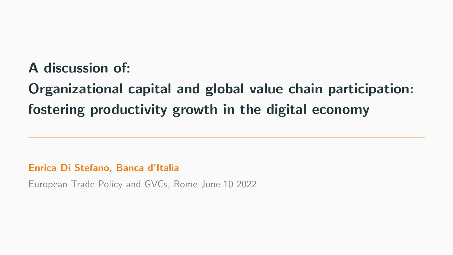## <span id="page-0-0"></span>A discussion of:

## Organizational capital and global value chain participation: fostering productivity growth in the digital economy

Enrica Di Stefano, Banca d'Italia

European Trade Policy and GVCs, Rome June 10 2022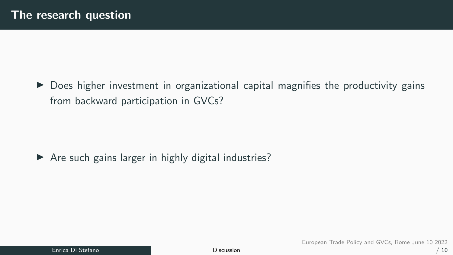$\triangleright$  Does higher investment in organizational capital magnifies the productivity gains from backward participation in GVCs?

▶ Are such gains larger in highly digital industries?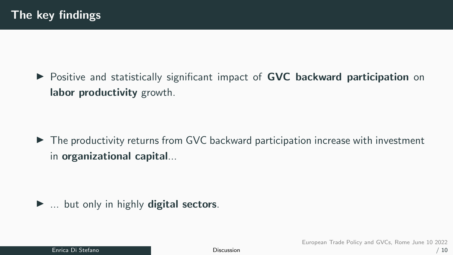▶ Positive and statistically significant impact of **GVC backward participation** on labor productivity growth.

▶ The productivity returns from GVC backward participation increase with investment in organizational capital...

 $\blacktriangleright$  ... but only in highly digital sectors.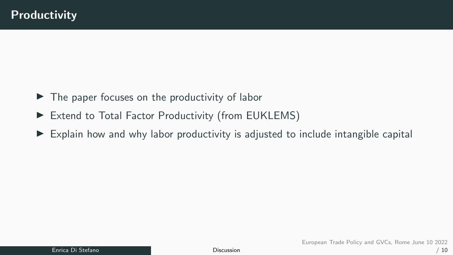- $\blacktriangleright$  The paper focuses on the productivity of labor
- ▶ Extend to Total Factor Productivity (from EUKLEMS)
- $\triangleright$  Explain how and why labor productivity is adjusted to include intangible capital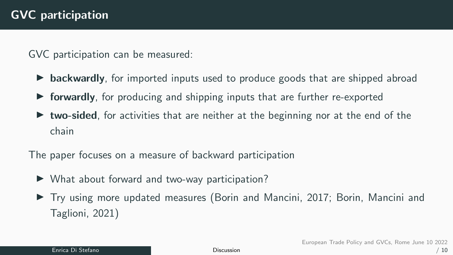GVC participation can be measured:

- $\triangleright$  backwardly, for imported inputs used to produce goods that are shipped abroad
- forwardly, for producing and shipping inputs that are further re-exported
- **two-sided**, for activities that are neither at the beginning nor at the end of the chain

The paper focuses on a measure of backward participation

- ▶ What about forward and two-way participation?
- ▶ Try using more updated measures (Borin and Mancini, 2017; Borin, Mancini and Taglioni, 2021)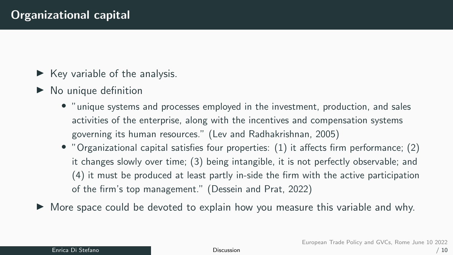- $\blacktriangleright$  Key variable of the analysis.
- $\blacktriangleright$  No unique definition
	- "unique systems and processes employed in the investment, production, and sales activities of the enterprise, along with the incentives and compensation systems governing its human resources." (Lev and Radhakrishnan, 2005)
	- "Organizational capital satisfies four properties: (1) it affects firm performance; (2) it changes slowly over time; (3) being intangible, it is not perfectly observable; and (4) it must be produced at least partly in-side the firm with the active participation of the firm's top management." (Dessein and Prat, 2022)

▶ More space could be devoted to explain how you measure this variable and why.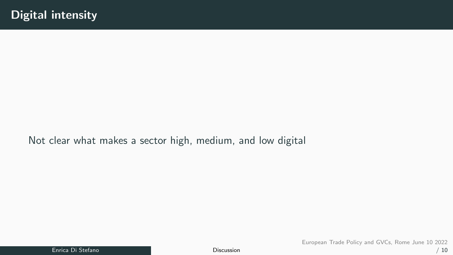Not clear what makes a sector high, medium, and low digital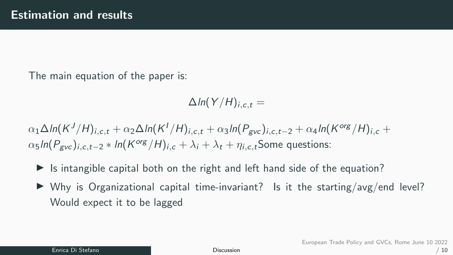The main equation of the paper is:

 $\Delta ln(Y/H)_{i.c.t} =$ 

 $\alpha_1\Delta$ In $(\mathsf{K}^J/\mathsf{H})_{i,c,t}+\alpha_2\Delta$ In $(\mathsf{K}^I/\mathsf{H})_{i,c,t}+\alpha_3$ In $(\mathsf{P}_{\mathsf{gvc}})_{i,c,t-2}+\alpha_4$ In $(\mathsf{K}^{\mathsf{org}}/\mathsf{H})_{i,c}+$  $\alpha_5$ In $(P_{\mathsf{gvc}})_{i,c,t-2} * \ln(K^{\mathsf{org}}/H)_{i,c} + \lambda_i + \lambda_t + \eta_{i,c,t}$ Some questions:

- Is intangible capital both on the right and left hand side of the equation?
- $\triangleright$  Why is Organizational capital time-invariant? Is it the starting/avg/end level? Would expect it to be lagged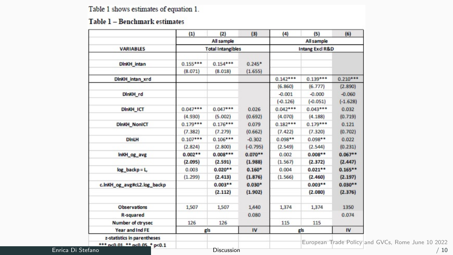Table 1 shows estimates of equation 1.

## Table 1 - Benchmark estimates

|                             | (1)                                    | (2)        | (3)        | (4)                                      | (5)        | (6)        |
|-----------------------------|----------------------------------------|------------|------------|------------------------------------------|------------|------------|
|                             | All sample<br><b>Total Intangibles</b> |            |            | All sample<br><b>Intang Excl R&amp;D</b> |            |            |
| <b>VARIABLES</b>            |                                        |            |            |                                          |            |            |
|                             |                                        |            |            |                                          |            |            |
| <b>DinKH</b> intan          | $0.155***$                             | $0.154***$ | $0.245*$   |                                          |            |            |
|                             | (8.071)                                | (8.018)    | (1.655)    |                                          |            |            |
| DinKH_intan_xrd             |                                        |            |            | $0.142***$                               | $0.139***$ | $0.210***$ |
|                             |                                        |            |            | (6.860)                                  | (6.777)    | (2.890)    |
| DinKH rd                    |                                        |            |            | $-0.001$                                 | $-0.000$   | $-0.060$   |
|                             |                                        |            |            | $(-0.126)$                               | $(-0.051)$ | $(-1.628)$ |
| <b>DInKH ICT</b>            | $0.047***$                             | $0.047***$ | 0.026      | $0.042***$                               | $0.043***$ | 0.032      |
|                             | (4.930)                                | (5.002)    | (0.692)    | (4.070)                                  | (4.188)    | (0.719)    |
| <b>DInKH NonICT</b>         | $0.179***$                             | $0.176***$ | 0.079      | $0.182***$                               | $0.179***$ | 0.121      |
|                             | (7.382)                                | (7.279)    | (0.662)    | (7.422)                                  | (7.320)    | (0.702)    |
| <b>DinLH</b>                | $0.107***$                             | $0.106***$ | $-0.302$   | $0.098**$                                | $0.098**$  | 0.022      |
|                             | (2.824)                                | (2.800)    | $(-0.795)$ | (2.549)                                  | (2.544)    | (0.231)    |
| InKH_og_avg                 | $0.002**$                              | $0.008***$ | $0.070**$  | 0.002                                    | $0.008**$  | $0.067**$  |
|                             | (2.095)                                | (2.591)    | (1.988)    | (1.567)                                  | (2.372)    | (2.447)    |
| $log_backp = L$             | 0.003                                  | $0.020**$  | $0.160*$   | 0.004                                    | $0.021**$  | $0.165**$  |
|                             | (1.299)                                | (2.413)    | (1.876)    | (1.566)                                  | (2.460)    | (2.197)    |
| c.lnKH og avg#cL2.log backp |                                        | $0.003**$  | $0.030*$   |                                          | $0.003**$  | $0.030**$  |
|                             |                                        | (2.112)    | (1.902)    |                                          | (2.080)    | (2.376)    |
| <b>Observations</b>         | 1,507                                  | 1.507      | 1,440      | 1,374                                    | 1,374      | 1350       |
| R-squared                   |                                        |            | 0.080      |                                          |            | 0.074      |
| Number of ctrysec           | 126                                    | 126        |            | 115                                      | 115        |            |
| Year and Ind FE             | gls                                    |            | IV         | gls                                      |            | IV         |

Enrica Di Stefano **[Discussion](#page-0-0)** 

European Trade Policy and GVCs, Rome June 10 2022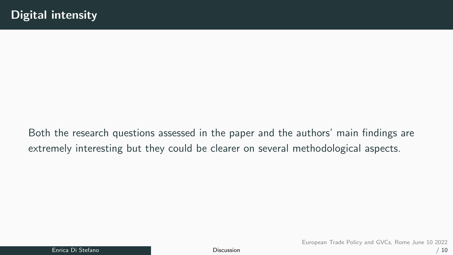Both the research questions assessed in the paper and the authors' main findings are extremely interesting but they could be clearer on several methodological aspects.